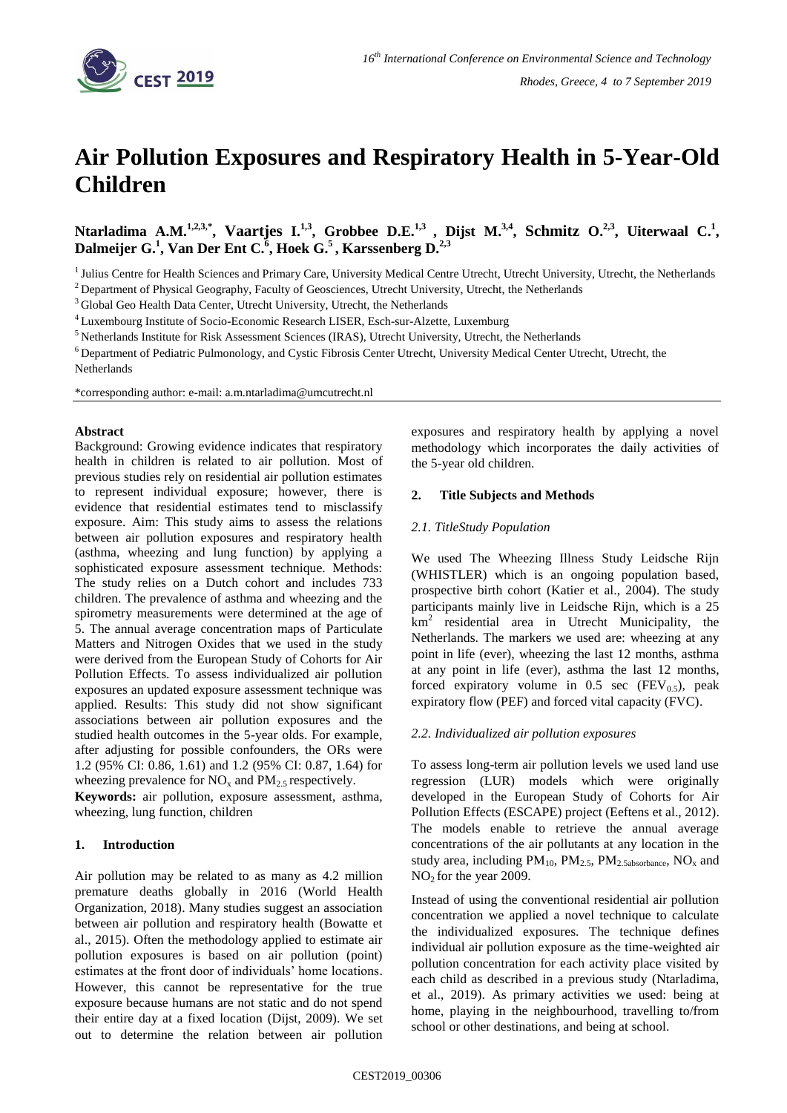

# **Air Pollution Exposures and Respiratory Health in 5-Year-Old Children**

Ntarladima A.M.<sup>1,2,3,\*</sup>, Vaartjes I.<sup>1,3</sup>, Grobbee D.E.<sup>1,3</sup> , Dijst M.<sup>3,4</sup>, Schmitz O.<sup>2,3</sup>, Uiterwaal C.<sup>1</sup>, **Dalmeijer G.<sup>1</sup> , Van Der Ent C.<sup>6</sup> , Hoek G.<sup>5</sup>, Karssenberg D.2,3**

<sup>1</sup> Julius Centre for Health Sciences and Primary Care, University Medical Centre Utrecht, Utrecht University, Utrecht, the Netherlands <sup>2</sup> Department of Physical Geography, Faculty of Geosciences, Utrecht University, Utrecht, the Netherlands

<sup>3</sup> Global Geo Health Data Center, Utrecht University, Utrecht, the Netherlands

<sup>4</sup>Luxembourg Institute of Socio-Economic Research LISER, Esch-sur-Alzette, Luxemburg

<sup>5</sup>Netherlands Institute for Risk Assessment Sciences (IRAS), Utrecht University, Utrecht, the Netherlands

<sup>6</sup>Department of Pediatric Pulmonology, and Cystic Fibrosis Center Utrecht, University Medical Center Utrecht, Utrecht, the

Netherlands

\*corresponding author: e-mail: a.m.ntarladima@umcutrecht.nl

#### **Abstract**

Background: Growing evidence indicates that respiratory health in children is related to air pollution. Most of previous studies rely on residential air pollution estimates to represent individual exposure; however, there is evidence that residential estimates tend to misclassify exposure. Aim: This study aims to assess the relations between air pollution exposures and respiratory health (asthma, wheezing and lung function) by applying a sophisticated exposure assessment technique. Methods: The study relies on a Dutch cohort and includes 733 children. The prevalence of asthma and wheezing and the spirometry measurements were determined at the age of 5. The annual average concentration maps of Particulate Matters and Nitrogen Oxides that we used in the study were derived from the European Study of Cohorts for Air Pollution Effects. To assess individualized air pollution exposures an updated exposure assessment technique was applied. Results: This study did not show significant associations between air pollution exposures and the studied health outcomes in the 5-year olds. For example, after adjusting for possible confounders, the ORs were 1.2 (95% CI: 0.86, 1.61) and 1.2 (95% CI: 0.87, 1.64) for wheezing prevalence for  $NO_x$  and  $PM_{2.5}$  respectively.

**Keywords:** air pollution, exposure assessment, asthma, wheezing, lung function, children

# **1. Introduction**

Air pollution may be related to as many as 4.2 million premature deaths globally in 2016 (World Health Organization, 2018). Many studies suggest an association between air pollution and respiratory health (Bowatte et al., 2015). Often the methodology applied to estimate air pollution exposures is based on air pollution (point) estimates at the front door of individuals' home locations. However, this cannot be representative for the true exposure because humans are not static and do not spend their entire day at a fixed location (Dijst, 2009). We set out to determine the relation between air pollution exposures and respiratory health by applying a novel methodology which incorporates the daily activities of the 5-year old children.

# **2. Title Subjects and Methods**

# *2.1. TitleStudy Population*

We used The Wheezing Illness Study Leidsche Rijn (WHISTLER) which is an ongoing population based, prospective birth cohort (Katier et al., 2004). The study participants mainly live in Leidsche Rijn, which is a 25  $km<sup>2</sup>$  residential area in Utrecht Municipality, the Netherlands. The markers we used are: wheezing at any point in life (ever), wheezing the last 12 months, asthma at any point in life (ever), asthma the last 12 months, forced expiratory volume in 0.5 sec  $(FEV<sub>0.5</sub>)$ , peak expiratory flow (PEF) and forced vital capacity (FVC).

# *2.2. Individualized air pollution exposures*

To assess long-term air pollution levels we used land use regression (LUR) models which were originally developed in the European Study of Cohorts for Air Pollution Effects (ESCAPE) project (Eeftens et al., 2012). The models enable to retrieve the annual average concentrations of the air pollutants at any location in the study area, including  $PM_{10}$ ,  $PM_{2.5}$ ,  $PM_{2.5}$ <sub>absorbance</sub>,  $NO_x$  and  $NO<sub>2</sub>$  for the year 2009.

Instead of using the conventional residential air pollution concentration we applied a novel technique to calculate the individualized exposures. The technique defines individual air pollution exposure as the time-weighted air pollution concentration for each activity place visited by each child as described in a previous study (Ntarladima, et al., 2019). As primary activities we used: being at home, playing in the neighbourhood, travelling to/from school or other destinations, and being at school.